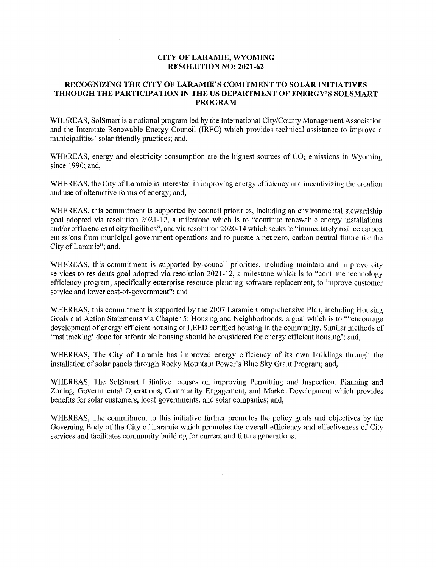## **CITY OF LARAMIE, WYOMING RESOLUTION NO: 2021-62**

## **RECOGNIZING THE CITY OF LARAMIE'S COMITMENT TO SOLAR INITIATIVES THROUGH THE PARTICIPATION IN THE US DEPARTMENT OF ENERGY'S SOLSMART PROGRAM**

WHEREAS, SolSmart is a national program led by the International City/County Management Association and the Interstate Renewable Energy Council (IREC) which provides technical assistance to improve a municipalities' solar friendly practices; and,

WHEREAS, energy and electricity consumption are the highest sources of  $CO<sub>2</sub>$  emissions in Wyoming since 1990; and,

WHEREAS, the City of Laramie is interested in improving energy efficiency and incentivizing the creation and use of alternative forms of energy; and,

WHEREAS, this commitment is supported by council priorities, including an environmental stewardship goal adopted via resolution 2021-12, a milestone which is to "continue renewable energy installations and/or efficiencies at city facilities", and via resolution 2020-14 which seeks to "immediately reduce carbon emissions from municipal government operations and to pursue a net zero, carbon neutral future for the City of Laramie"; and,

WHEREAS, this commitment is supported by council priorities, including maintain and improve city services to residents goal adopted via resolution 2021-12, a milestone which is to "continue technology efficiency program, specifically enterprise resource planning software replacement, to improve customer service and lower cost-of-government"; and

WHEREAS, this commitment is supported by the 2007 Laramie Comprehensive Plan, including Housing Goals and Action Statements via Chapter 5: Housing and Neighborhoods, a goal which is to ""encourage development of energy efficient housing or LEED certified housing in the community. Similar methods of 'fast tracking' done for affordable housing should be considered for energy efficient housing'; and,

WHEREAS, The City of Laramie has improved energy efficiency of its own buildings through the installation of solar panels through Rocky Mountain Power's Blue Sky Grant Program; and,

WHEREAS, The SolSmart Initiative focuses on improving Permitting and Inspection, Planning and Zoning, Governmental Operations, Community Engagement, and Market Development which provides benefits for solar customers, local governments, and solar companies; and,

WHEREAS, The commitment to this initiative further promotes the policy goals and objectives by the Governing Body of the City of Laramie which promotes the overall efficiency and effectiveness of City services and facilitates community building for current and future generations.